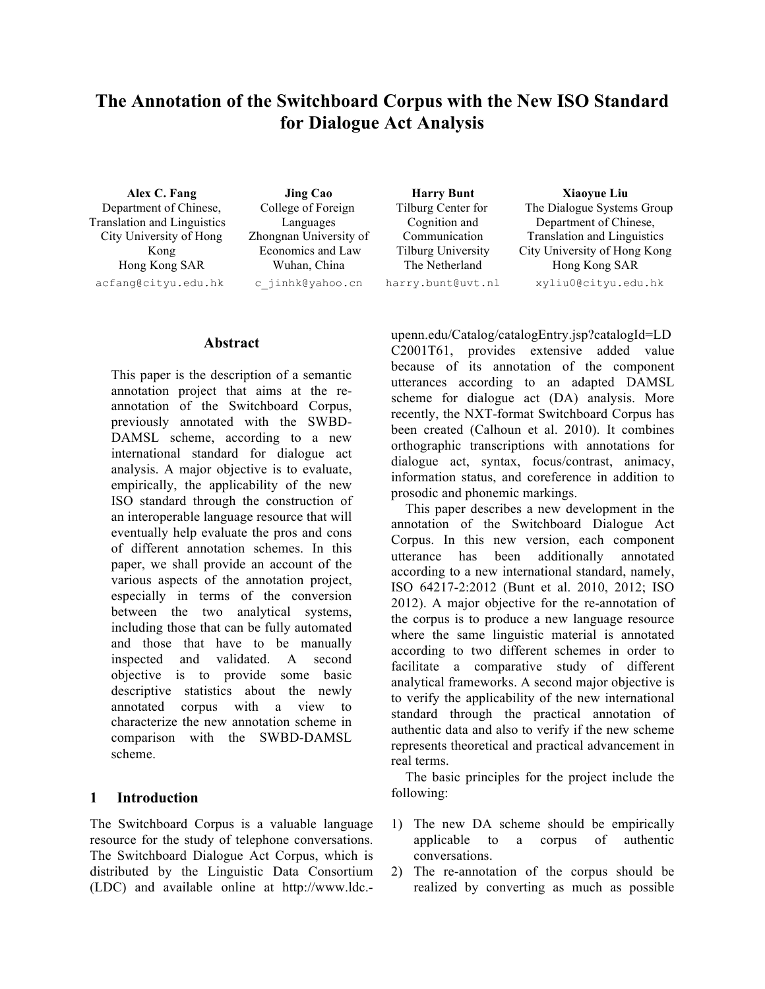# **The Annotation of the Switchboard Corpus with the New ISO Standard for Dialogue Act Analysis**

Department of Chinese, Translation and Linguistics City University of Hong Kong Hong Kong SAR acfang@cityu.edu.hk c\_jinhk@yahoo.cn harry.bunt@uvt.nl xyliu0@cityu.edu.hk

**Alex C. Fang Jing Cao Harry Bunt Xiaoyue Liu** College of Foreign Languages Zhongnan University of Economics and Law Wuhan, China

Tilburg Center for Cognition and Communication Tilburg University The Netherland

The Dialogue Systems Group Department of Chinese, Translation and Linguistics City University of Hong Kong Hong Kong SAR

### **Abstract**

This paper is the description of a semantic annotation project that aims at the reannotation of the Switchboard Corpus, previously annotated with the SWBD-DAMSL scheme, according to a new international standard for dialogue act analysis. A major objective is to evaluate, empirically, the applicability of the new ISO standard through the construction of an interoperable language resource that will eventually help evaluate the pros and cons of different annotation schemes. In this paper, we shall provide an account of the various aspects of the annotation project, especially in terms of the conversion between the two analytical systems, including those that can be fully automated and those that have to be manually inspected and validated. A second objective is to provide some basic descriptive statistics about the newly annotated corpus with a view to characterize the new annotation scheme in comparison with the SWBD-DAMSL scheme.

#### **1 Introduction**

The Switchboard Corpus is a valuable language resource for the study of telephone conversations. The Switchboard Dialogue Act Corpus, which is distributed by the Linguistic Data Consortium (LDC) and available online at http://www.ldc.- upenn.edu/Catalog/catalogEntry.jsp?catalogId=LD C2001T61, provides extensive added value because of its annotation of the component utterances according to an adapted DAMSL scheme for dialogue act (DA) analysis. More recently, the NXT-format Switchboard Corpus has been created (Calhoun et al. 2010). It combines orthographic transcriptions with annotations for dialogue act, syntax, focus/contrast, animacy, information status, and coreference in addition to prosodic and phonemic markings.

This paper describes a new development in the annotation of the Switchboard Dialogue Act Corpus. In this new version, each component utterance has been additionally annotated according to a new international standard, namely, ISO 64217-2:2012 (Bunt et al. 2010, 2012; ISO 2012). A major objective for the re-annotation of the corpus is to produce a new language resource where the same linguistic material is annotated according to two different schemes in order to facilitate a comparative study of different analytical frameworks. A second major objective is to verify the applicability of the new international standard through the practical annotation of authentic data and also to verify if the new scheme represents theoretical and practical advancement in real terms.

The basic principles for the project include the following:

- 1) The new DA scheme should be empirically applicable to a corpus of authentic conversations.
- 2) The re-annotation of the corpus should be realized by converting as much as possible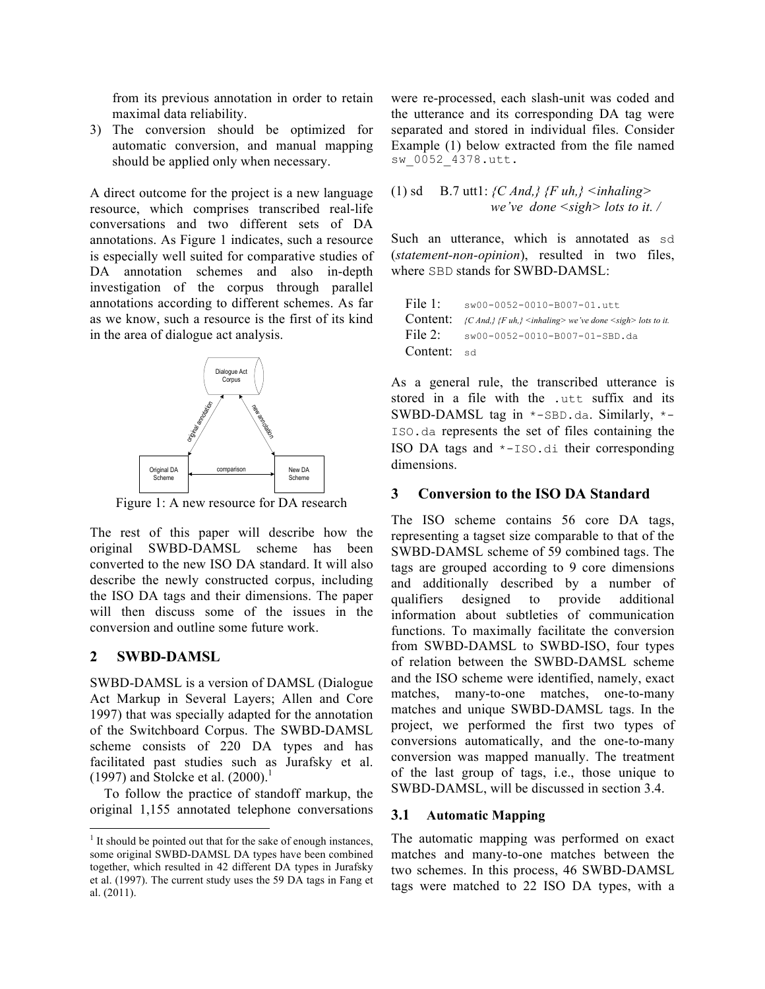from its previous annotation in order to retain maximal data reliability.

3) The conversion should be optimized for automatic conversion, and manual mapping should be applied only when necessary.

A direct outcome for the project is a new language resource, which comprises transcribed real-life conversations and two different sets of DA annotations. As Figure 1 indicates, such a resource is especially well suited for comparative studies of DA annotation schemes and also in-depth investigation of the corpus through parallel annotations according to different schemes. As far as we know, such a resource is the first of its kind in the area of dialogue act analysis.



Figure 1: A new resource for DA research

The rest of this paper will describe how the original SWBD-DAMSL scheme has been converted to the new ISO DA standard. It will also describe the newly constructed corpus, including the ISO DA tags and their dimensions. The paper will then discuss some of the issues in the conversion and outline some future work.

### **2 SWBD-DAMSL**

SWBD-DAMSL is a version of DAMSL (Dialogue Act Markup in Several Layers; Allen and Core 1997) that was specially adapted for the annotation of the Switchboard Corpus. The SWBD-DAMSL scheme consists of 220 DA types and has facilitated past studies such as Jurafsky et al.  $(1997)$  and Stolcke et al.  $(2000).$ <sup>1</sup>

To follow the practice of standoff markup, the original 1,155 annotated telephone conversations were re-processed, each slash-unit was coded and the utterance and its corresponding DA tag were separated and stored in individual files. Consider Example (1) below extracted from the file named sw\_0052\_4378.utt.

(1) sd B.7 uttl: 
$$
{C \text{ And,}}
$$
  ${F \text{ uh,}}$   $\leq$  inhaling>   
we've done  $\leq$  sign> lots to it.

Such an utterance, which is annotated as sd (*statement-non-opinion*), resulted in two files, where SBD stands for SWBD-DAMSL:

| File $1$ :  | sw00-0052-0010-B007-01.utt                                                                                          |
|-------------|---------------------------------------------------------------------------------------------------------------------|
|             | <b>Content:</b> $\{C \text{ And}\}\$ $\{F \text{ uh}\}\$ <inhaling> we've done <sigh> lots to it.</sigh></inhaling> |
|             | File 2: $\frac{\text{sw00-0052-0010-B007-01-SBD.da}}{}$                                                             |
| Content: sd |                                                                                                                     |

As a general rule, the transcribed utterance is stored in a file with the .utt suffix and its SWBD-DAMSL tag in \*-SBD.da. Similarly, \*- ISO.da represents the set of files containing the ISO DA tags and \*-ISO.di their corresponding dimensions.

#### **3 Conversion to the ISO DA Standard**

The ISO scheme contains 56 core DA tags, representing a tagset size comparable to that of the SWBD-DAMSL scheme of 59 combined tags. The tags are grouped according to 9 core dimensions and additionally described by a number of qualifiers designed to provide additional information about subtleties of communication functions. To maximally facilitate the conversion from SWBD-DAMSL to SWBD-ISO, four types of relation between the SWBD-DAMSL scheme and the ISO scheme were identified, namely, exact matches, many-to-one matches, one-to-many matches and unique SWBD-DAMSL tags. In the project, we performed the first two types of conversions automatically, and the one-to-many conversion was mapped manually. The treatment of the last group of tags, i.e., those unique to SWBD-DAMSL, will be discussed in section 3.4.

### **3.1 Automatic Mapping**

The automatic mapping was performed on exact matches and many-to-one matches between the two schemes. In this process, 46 SWBD-DAMSL tags were matched to 22 ISO DA types, with a

 $<sup>1</sup>$  It should be pointed out that for the sake of enough instances,</sup> some original SWBD-DAMSL DA types have been combined together, which resulted in 42 different DA types in Jurafsky et al. (1997). The current study uses the 59 DA tags in Fang et al. (2011).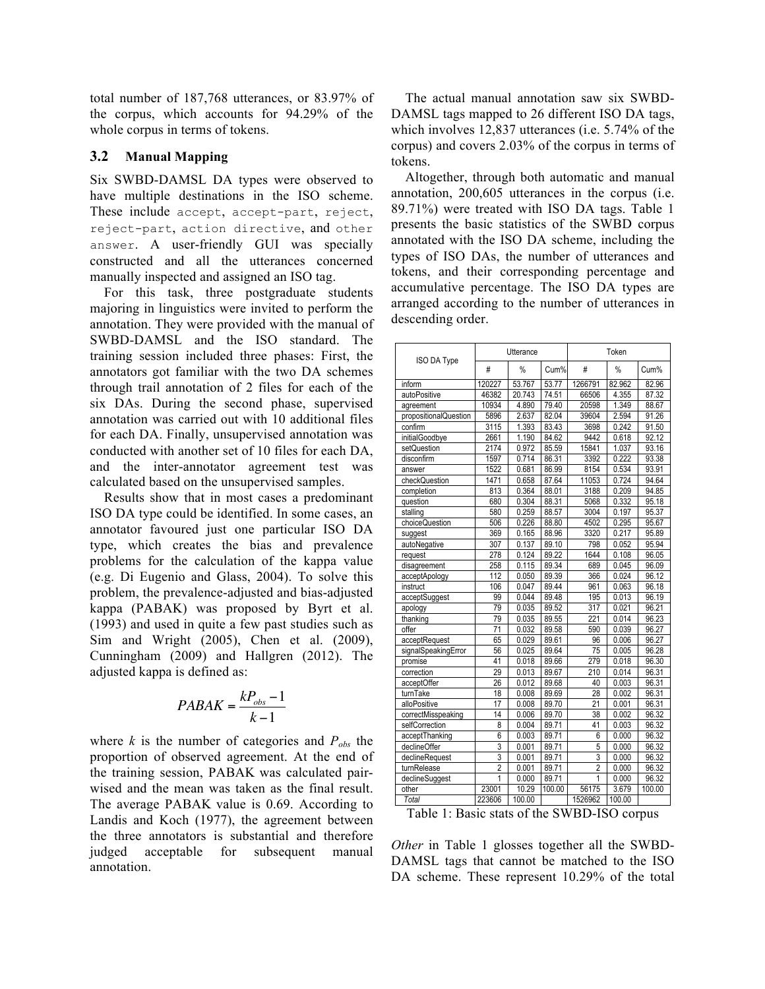total number of 187,768 utterances, or 83.97% of the corpus, which accounts for 94.29% of the whole corpus in terms of tokens.

#### **3.2 Manual Mapping**

Six SWBD-DAMSL DA types were observed to have multiple destinations in the ISO scheme. These include accept, accept-part, reject, reject-part, action directive, and other answer. A user-friendly GUI was specially constructed and all the utterances concerned manually inspected and assigned an ISO tag.

For this task, three postgraduate students majoring in linguistics were invited to perform the annotation. They were provided with the manual of SWBD-DAMSL and the ISO standard. The training session included three phases: First, the annotators got familiar with the two DA schemes through trail annotation of 2 files for each of the six DAs. During the second phase, supervised annotation was carried out with 10 additional files for each DA. Finally, unsupervised annotation was conducted with another set of 10 files for each DA, and the inter-annotator agreement test was calculated based on the unsupervised samples.

Results show that in most cases a predominant ISO DA type could be identified. In some cases, an annotator favoured just one particular ISO DA type, which creates the bias and prevalence problems for the calculation of the kappa value (e.g. Di Eugenio and Glass, 2004). To solve this problem, the prevalence-adjusted and bias-adjusted kappa (PABAK) was proposed by Byrt et al. (1993) and used in quite a few past studies such as Sim and Wright (2005), Chen et al. (2009), Cunningham (2009) and Hallgren (2012). The adjusted kappa is defined as:

$$
PABAK = \frac{kP_{obs} - 1}{k - 1}
$$

where  $k$  is the number of categories and  $P_{obs}$  the proportion of observed agreement. At the end of the training session, PABAK was calculated pairwised and the mean was taken as the final result. The average PABAK value is 0.69. According to Landis and Koch (1977), the agreement between the three annotators is substantial and therefore judged acceptable for subsequent manual annotation.

The actual manual annotation saw six SWBD-DAMSL tags mapped to 26 different ISO DA tags, which involves 12,837 utterances (i.e. 5.74% of the corpus) and covers 2.03% of the corpus in terms of tokens.

Altogether, through both automatic and manual annotation, 200,605 utterances in the corpus (i.e. 89.71%) were treated with ISO DA tags. Table 1 presents the basic statistics of the SWBD corpus annotated with the ISO DA scheme, including the types of ISO DAs, the number of utterances and tokens, and their corresponding percentage and accumulative percentage. The ISO DA types are arranged according to the number of utterances in descending order.

| <b>ISO DA Type</b>    | Utterance       |        |        | Token           |        |        |
|-----------------------|-----------------|--------|--------|-----------------|--------|--------|
|                       | #               | $\%$   | Cum%   | #               | $\%$   | Cum%   |
| inform                | 120227          | 53.767 | 53.77  | 1266791         | 82.962 | 82.96  |
| autoPositive          | 46382           | 20.743 | 74.51  | 66506           | 4.355  | 87.32  |
| agreement             | 10934           | 4.890  | 79.40  | 20598           | 1.349  | 88.67  |
| propositionalQuestion | 5896            | 2.637  | 82.04  | 39604           | 2.594  | 91.26  |
| confirm               | 3115            | 1.393  | 83.43  | 3698            | 0.242  | 91.50  |
| initialGoodbye        | 2661            | 1.190  | 84.62  | 9442            | 0.618  | 92.12  |
| setQuestion           | 2174            | 0.972  | 85.59  | 15841           | 1.037  | 93.16  |
| disconfirm            | 1597            | 0.714  | 86.31  | 3392            | 0.222  | 93.38  |
| answer                | 1522            | 0.681  | 86.99  | 8154            | 0.534  | 93.91  |
| checkQuestion         | 1471            | 0.658  | 87.64  | 11053           | 0.724  | 94.64  |
| completion            | 813             | 0.364  | 88.01  | 3188            | 0.209  | 94.85  |
| question              | 680             | 0.304  | 88.31  | 5068            | 0.332  | 95.18  |
| stalling              | 580             | 0.259  | 88.57  | 3004            | 0.197  | 95.37  |
| choiceQuestion        | 506             | 0.226  | 88.80  | 4502            | 0.295  | 95.67  |
| suggest               | 369             | 0.165  | 88.96  | 3320            | 0.217  | 95.89  |
| autoNegative          | 307             | 0.137  | 89.10  | 798             | 0.052  | 95.94  |
| request               | 278             | 0.124  | 89.22  | 1644            | 0.108  | 96.05  |
| disagreement          | 258             | 0.115  | 89.34  | 689             | 0.045  | 96.09  |
| acceptApology         | 112             | 0.050  | 89.39  | 366             | 0.024  | 96.12  |
| instruct              | 106             | 0.047  | 89.44  | 961             | 0.063  | 96.18  |
| acceptSuggest         | 99              | 0.044  | 89.48  | 195             | 0.013  | 96.19  |
| apology               | 79              | 0.035  | 89.52  | 317             | 0.021  | 96.21  |
| thanking              | 79              | 0.035  | 89.55  | 221             | 0.014  | 96.23  |
| offer                 | 71              | 0.032  | 89.58  | 590             | 0.039  | 96.27  |
| acceptRequest         | 65              | 0.029  | 89.61  | 96              | 0.006  | 96.27  |
| signalSpeakingError   | 56              | 0.025  | 89.64  | $\overline{75}$ | 0.005  | 96.28  |
| promise               | 41              | 0.018  | 89.66  | 279             | 0.018  | 96.30  |
| correction            | 29              | 0.013  | 89.67  | 210             | 0.014  | 96.31  |
| acceptOffer           | 26              | 0.012  | 89.68  | 40              | 0.003  | 96.31  |
| turnTake              | 18              | 0.008  | 89.69  | 28              | 0.002  | 96.31  |
| alloPositive          | 17              | 0.008  | 89.70  | 21              | 0.001  | 96.31  |
| correctMisspeaking    | $\overline{14}$ | 0.006  | 89.70  | 38              | 0.002  | 96.32  |
| selfCorrection        | 8               | 0.004  | 89.71  | 41              | 0.003  | 96.32  |
| acceptThanking        | 6               | 0.003  | 89.71  | 6               | 0.000  | 96.32  |
| declineOffer          | 3               | 0.001  | 89.71  | 5               | 0.000  | 96.32  |
| declineRequest        | 3               | 0.001  | 89.71  | 3               | 0.000  | 96.32  |
| turnRelease           | $\overline{2}$  | 0.001  | 89.71  | $\overline{2}$  | 0.000  | 96.32  |
| declineSuggest        | 1               | 0.000  | 89.71  | 1               | 0.000  | 96.32  |
| other                 | 23001           | 10.29  | 100.00 | 56175           | 3.679  | 100.00 |
| Total                 | 223606          | 100.00 |        | 1526962         | 100.00 |        |

Table 1: Basic stats of the SWBD-ISO corpus

*Other* in Table 1 glosses together all the SWBD-DAMSL tags that cannot be matched to the ISO DA scheme. These represent 10.29% of the total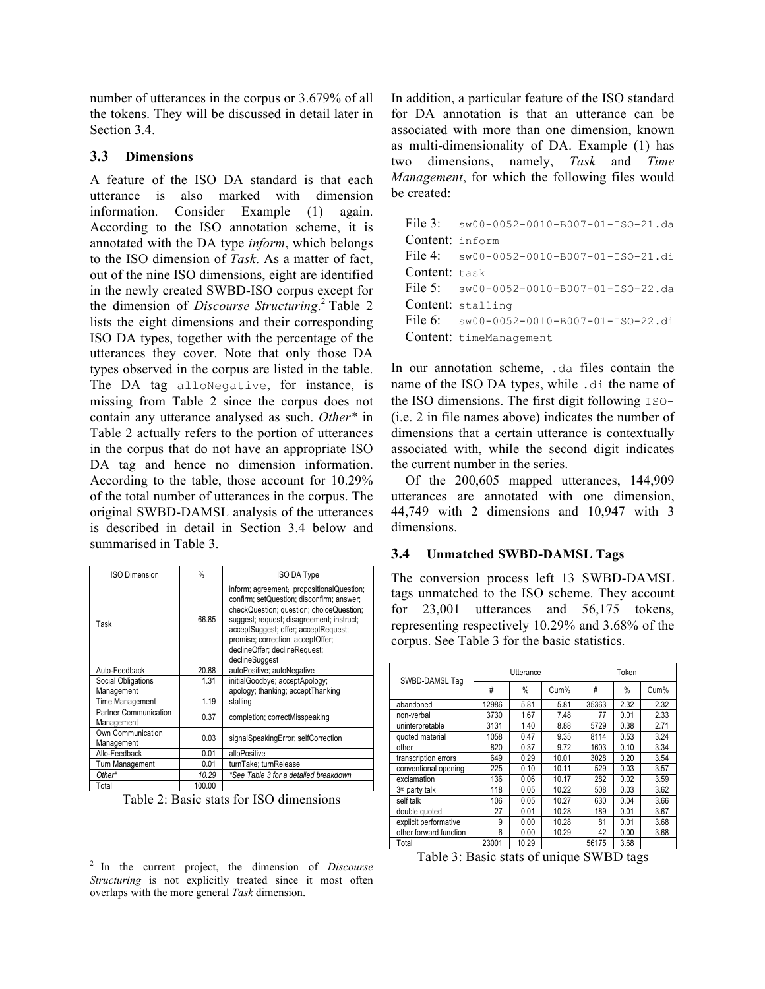number of utterances in the corpus or 3.679% of all the tokens. They will be discussed in detail later in Section 3.4.

### **3.3 Dimensions**

A feature of the ISO DA standard is that each utterance is also marked with dimension information. Consider Example (1) again. According to the ISO annotation scheme, it is annotated with the DA type *inform*, which belongs to the ISO dimension of *Task*. As a matter of fact, out of the nine ISO dimensions, eight are identified in the newly created SWBD-ISO corpus except for the dimension of *Discourse Structuring*. <sup>2</sup> Table 2 lists the eight dimensions and their corresponding ISO DA types, together with the percentage of the utterances they cover. Note that only those DA types observed in the corpus are listed in the table. The DA tag alloNegative, for instance, is missing from Table 2 since the corpus does not contain any utterance analysed as such. *Other\** in Table 2 actually refers to the portion of utterances in the corpus that do not have an appropriate ISO DA tag and hence no dimension information. According to the table, those account for 10.29% of the total number of utterances in the corpus. The original SWBD-DAMSL analysis of the utterances is described in detail in Section 3.4 below and summarised in Table 3.

| <b>ISO Dimension</b>                | $\%$   | <b>ISO DA Type</b>                                                                                                                                                                                                                                                                                              |
|-------------------------------------|--------|-----------------------------------------------------------------------------------------------------------------------------------------------------------------------------------------------------------------------------------------------------------------------------------------------------------------|
| Task                                | 66.85  | inform; agreement; propositionalQuestion;<br>confirm; setQuestion; disconfirm; answer;<br>checkQuestion; question; choiceQuestion;<br>suggest; request; disagreement; instruct;<br>acceptSuggest; offer; acceptRequest;<br>promise; correction; acceptOffer;<br>declineOffer; declineRequest;<br>declineSuggest |
| Auto-Feedback                       | 20.88  | autoPositive; autoNegative                                                                                                                                                                                                                                                                                      |
| Social Obligations                  | 1.31   | initialGoodbye; acceptApology;                                                                                                                                                                                                                                                                                  |
| Management                          |        | apology; thanking; acceptThanking                                                                                                                                                                                                                                                                               |
| Time Management                     | 1.19   | stalling                                                                                                                                                                                                                                                                                                        |
| Partner Communication<br>Management | 0.37   | completion; correctMisspeaking                                                                                                                                                                                                                                                                                  |
| Own Communication<br>Management     | 0.03   | signalSpeakingError; selfCorrection                                                                                                                                                                                                                                                                             |
| Allo-Feedback<br>0.01               |        | alloPositive                                                                                                                                                                                                                                                                                                    |
| Turn Management                     | 0.01   | turnTake; turnRelease                                                                                                                                                                                                                                                                                           |
| Other*                              | 10.29  | *See Table 3 for a detailed breakdown                                                                                                                                                                                                                                                                           |
| Total                               | 100.00 |                                                                                                                                                                                                                                                                                                                 |

Table 2: Basic stats for ISO dimensions

In addition, a particular feature of the ISO standard for DA annotation is that an utterance can be associated with more than one dimension, known as multi-dimensionality of DA. Example (1) has two dimensions, namely, *Task* and *Time Management*, for which the following files would be created:

|                 | File 3: $sw00-0052-0010-B007-01-ISO-21.da$                |
|-----------------|-----------------------------------------------------------|
| Content: inform |                                                           |
|                 | File 4: $sw00-0052-0010-B007-01-ISO-21.di$                |
| Content: task   |                                                           |
|                 | File 5: $\frac{\text{sw00-0052-0010-B007-01-150-22.da}}{$ |
|                 | Content: stalling                                         |
|                 | File $6:$ sw00-0052-0010-B007-01-ISO-22.di                |
|                 | Content: timeManagement                                   |

In our annotation scheme, .da files contain the name of the ISO DA types, while .di the name of the ISO dimensions. The first digit following ISO- (i.e. 2 in file names above) indicates the number of dimensions that a certain utterance is contextually associated with, while the second digit indicates the current number in the series.

Of the 200,605 mapped utterances, 144,909 utterances are annotated with one dimension, 44,749 with 2 dimensions and 10,947 with 3 dimensions.

#### **3.4 Unmatched SWBD-DAMSL Tags**

The conversion process left 13 SWBD-DAMSL tags unmatched to the ISO scheme. They account for 23,001 utterances and 56,175 tokens, representing respectively 10.29% and 3.68% of the corpus. See Table 3 for the basic statistics.

|                        | Utterance |       |       | Token |      |      |
|------------------------|-----------|-------|-------|-------|------|------|
| SWBD-DAMSL Tag         | #         | %     | Cum%  | #     | %    | Cum% |
| abandoned              | 12986     | 5.81  | 5.81  | 35363 | 2.32 | 2.32 |
| non-verbal             | 3730      | 1.67  | 7.48  | 77    | 0.01 | 2.33 |
| uninterpretable        | 3131      | 1.40  | 8.88  | 5729  | 0.38 | 2.71 |
| quoted material        | 1058      | 0.47  | 9.35  | 8114  | 0.53 | 3.24 |
| other                  | 820       | 0.37  | 9.72  | 1603  | 0.10 | 3.34 |
| transcription errors   | 649       | 0.29  | 10.01 | 3028  | 0.20 | 3.54 |
| conventional opening   | 225       | 0.10  | 10.11 | 529   | 0.03 | 3.57 |
| exclamation            | 136       | 0.06  | 10.17 | 282   | 0.02 | 3.59 |
| 3rd party talk         | 118       | 0.05  | 10.22 | 508   | 0.03 | 3.62 |
| self talk              | 106       | 0.05  | 10.27 | 630   | 0.04 | 3.66 |
| double quoted          | 27        | 0.01  | 10.28 | 189   | 0.01 | 3.67 |
| explicit performative  | 9         | 0.00  | 10.28 | 81    | 0.01 | 3.68 |
| other forward function | 6         | 0.00  | 10.29 | 42    | 0.00 | 3.68 |
| Total                  | 23001     | 10.29 |       | 56175 | 3.68 |      |

Table 3: Basic stats of unique SWBD tags

 <sup>2</sup> In the current project, the dimension of *Discourse Structuring* is not explicitly treated since it most often overlaps with the more general *Task* dimension.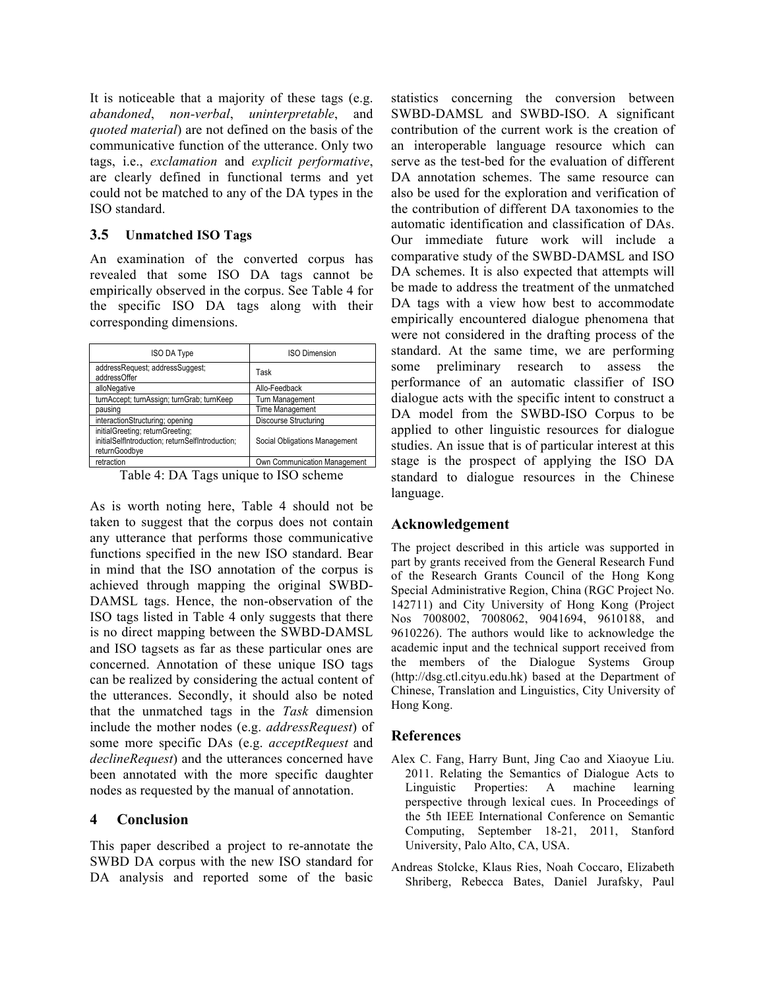It is noticeable that a majority of these tags (e.g. *abandoned*, *non-verbal*, *uninterpretable*, and *quoted material*) are not defined on the basis of the communicative function of the utterance. Only two tags, i.e., *exclamation* and *explicit performative*, are clearly defined in functional terms and yet could not be matched to any of the DA types in the ISO standard.

## **3.5 Unmatched ISO Tags**

An examination of the converted corpus has revealed that some ISO DA tags cannot be empirically observed in the corpus. See Table 4 for the specific ISO DA tags along with their corresponding dimensions.

| <b>ISO DA Type</b>                                                                                    | <b>ISO Dimension</b>          |  |  |
|-------------------------------------------------------------------------------------------------------|-------------------------------|--|--|
| addressRequest; addressSuggest;<br>addressOffer                                                       | Task                          |  |  |
| alloNegative                                                                                          | Allo-Feedback                 |  |  |
| turnAccept; turnAssign; turnGrab; turnKeep                                                            | Turn Management               |  |  |
| pausing                                                                                               | <b>Time Management</b>        |  |  |
| interactionStructuring; opening                                                                       | Discourse Structuring         |  |  |
| initialGreeting; returnGreeting;<br>initialSelfIntroduction; returnSelfIntroduction;<br>returnGoodbye | Social Obligations Management |  |  |
| retraction                                                                                            | Own Communication Management  |  |  |

Table 4: DA Tags unique to ISO scheme

As is worth noting here, Table 4 should not be taken to suggest that the corpus does not contain any utterance that performs those communicative functions specified in the new ISO standard. Bear in mind that the ISO annotation of the corpus is achieved through mapping the original SWBD-DAMSL tags. Hence, the non-observation of the ISO tags listed in Table 4 only suggests that there is no direct mapping between the SWBD-DAMSL and ISO tagsets as far as these particular ones are concerned. Annotation of these unique ISO tags can be realized by considering the actual content of the utterances. Secondly, it should also be noted that the unmatched tags in the *Task* dimension include the mother nodes (e.g. *addressRequest*) of some more specific DAs (e.g. *acceptRequest* and *declineRequest*) and the utterances concerned have been annotated with the more specific daughter nodes as requested by the manual of annotation.

# **4 Conclusion**

This paper described a project to re-annotate the SWBD DA corpus with the new ISO standard for DA analysis and reported some of the basic statistics concerning the conversion between SWBD-DAMSL and SWBD-ISO. A significant contribution of the current work is the creation of an interoperable language resource which can serve as the test-bed for the evaluation of different DA annotation schemes. The same resource can also be used for the exploration and verification of the contribution of different DA taxonomies to the automatic identification and classification of DAs. Our immediate future work will include a comparative study of the SWBD-DAMSL and ISO DA schemes. It is also expected that attempts will be made to address the treatment of the unmatched DA tags with a view how best to accommodate empirically encountered dialogue phenomena that were not considered in the drafting process of the standard. At the same time, we are performing some preliminary research to assess the performance of an automatic classifier of ISO dialogue acts with the specific intent to construct a DA model from the SWBD-ISO Corpus to be applied to other linguistic resources for dialogue studies. An issue that is of particular interest at this stage is the prospect of applying the ISO DA standard to dialogue resources in the Chinese language.

# **Acknowledgement**

The project described in this article was supported in part by grants received from the General Research Fund of the Research Grants Council of the Hong Kong Special Administrative Region, China (RGC Project No. 142711) and City University of Hong Kong (Project Nos 7008002, 7008062, 9041694, 9610188, and 9610226). The authors would like to acknowledge the academic input and the technical support received from the members of the Dialogue Systems Group (http://dsg.ctl.cityu.edu.hk) based at the Department of Chinese, Translation and Linguistics, City University of Hong Kong.

# **References**

- Alex C. Fang, Harry Bunt, Jing Cao and Xiaoyue Liu. 2011. Relating the Semantics of Dialogue Acts to Linguistic Properties: A machine learning perspective through lexical cues. In Proceedings of the 5th IEEE International Conference on Semantic Computing, September 18-21, 2011, Stanford University, Palo Alto, CA, USA.
- Andreas Stolcke, Klaus Ries, Noah Coccaro, Elizabeth Shriberg, Rebecca Bates, Daniel Jurafsky, Paul